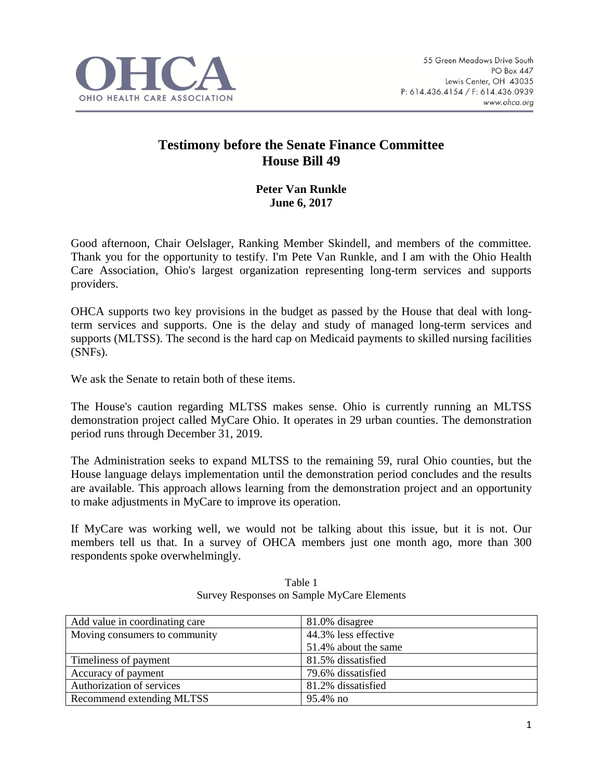

## **Testimony before the Senate Finance Committee House Bill 49**

## **Peter Van Runkle June 6, 2017**

Good afternoon, Chair Oelslager, Ranking Member Skindell, and members of the committee. Thank you for the opportunity to testify. I'm Pete Van Runkle, and I am with the Ohio Health Care Association, Ohio's largest organization representing long-term services and supports providers.

OHCA supports two key provisions in the budget as passed by the House that deal with longterm services and supports. One is the delay and study of managed long-term services and supports (MLTSS). The second is the hard cap on Medicaid payments to skilled nursing facilities (SNFs).

We ask the Senate to retain both of these items.

The House's caution regarding MLTSS makes sense. Ohio is currently running an MLTSS demonstration project called MyCare Ohio. It operates in 29 urban counties. The demonstration period runs through December 31, 2019.

The Administration seeks to expand MLTSS to the remaining 59, rural Ohio counties, but the House language delays implementation until the demonstration period concludes and the results are available. This approach allows learning from the demonstration project and an opportunity to make adjustments in MyCare to improve its operation.

If MyCare was working well, we would not be talking about this issue, but it is not. Our members tell us that. In a survey of OHCA members just one month ago, more than 300 respondents spoke overwhelmingly.

| Add value in coordinating care | 81.0% disagree       |
|--------------------------------|----------------------|
| Moving consumers to community  | 44.3% less effective |
|                                | 51.4% about the same |
| Timeliness of payment          | 81.5% dissatisfied   |
| Accuracy of payment            | 79.6% dissatisfied   |
| Authorization of services      | 81.2% dissatisfied   |
| Recommend extending MLTSS      | 95.4% no             |

Table 1 Survey Responses on Sample MyCare Elements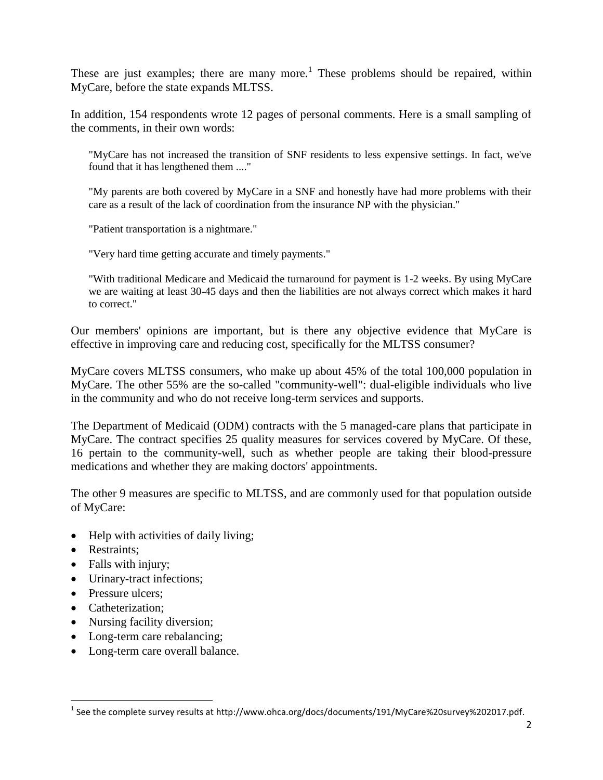These are just examples; there are many more.<sup>1</sup> These problems should be repaired, within MyCare, before the state expands MLTSS.

In addition, 154 respondents wrote 12 pages of personal comments. Here is a small sampling of the comments, in their own words:

"MyCare has not increased the transition of SNF residents to less expensive settings. In fact, we've found that it has lengthened them ...."

"My parents are both covered by MyCare in a SNF and honestly have had more problems with their care as a result of the lack of coordination from the insurance NP with the physician."

"Patient transportation is a nightmare."

"Very hard time getting accurate and timely payments."

"With traditional Medicare and Medicaid the turnaround for payment is 1-2 weeks. By using MyCare we are waiting at least 30-45 days and then the liabilities are not always correct which makes it hard to correct."

Our members' opinions are important, but is there any objective evidence that MyCare is effective in improving care and reducing cost, specifically for the MLTSS consumer?

MyCare covers MLTSS consumers, who make up about 45% of the total 100,000 population in MyCare. The other 55% are the so-called "community-well": dual-eligible individuals who live in the community and who do not receive long-term services and supports.

The Department of Medicaid (ODM) contracts with the 5 managed-care plans that participate in MyCare. The contract specifies 25 quality measures for services covered by MyCare. Of these, 16 pertain to the community-well, such as whether people are taking their blood-pressure medications and whether they are making doctors' appointments.

The other 9 measures are specific to MLTSS, and are commonly used for that population outside of MyCare:

- Help with activities of daily living;
- Restraints;
- Falls with injury;
- Urinary-tract infections;
- Pressure ulcers:
- Catheterization:
- Nursing facility diversion;
- Long-term care rebalancing;
- Long-term care overall balance.

 1 See the complete survey results at http://www.ohca.org/docs/documents/191/MyCare%20survey%202017.pdf.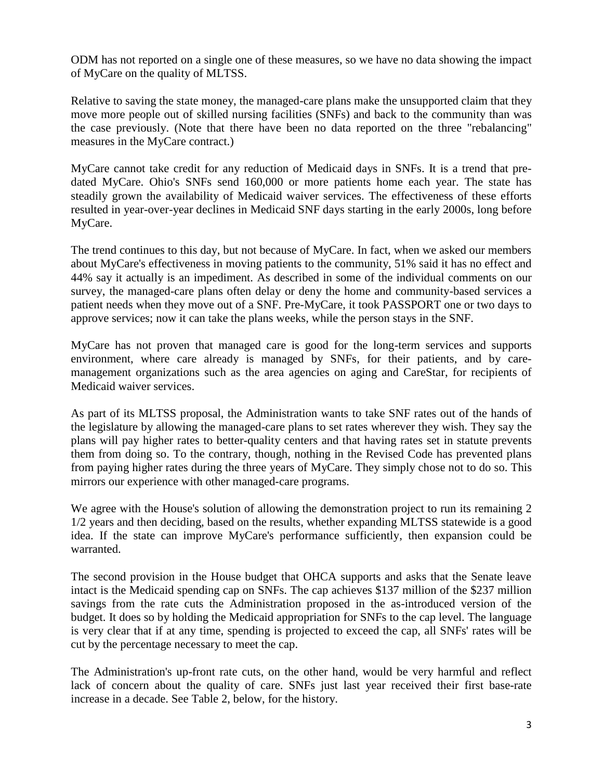ODM has not reported on a single one of these measures, so we have no data showing the impact of MyCare on the quality of MLTSS.

Relative to saving the state money, the managed-care plans make the unsupported claim that they move more people out of skilled nursing facilities (SNFs) and back to the community than was the case previously. (Note that there have been no data reported on the three "rebalancing" measures in the MyCare contract.)

MyCare cannot take credit for any reduction of Medicaid days in SNFs. It is a trend that predated MyCare. Ohio's SNFs send 160,000 or more patients home each year. The state has steadily grown the availability of Medicaid waiver services. The effectiveness of these efforts resulted in year-over-year declines in Medicaid SNF days starting in the early 2000s, long before MyCare.

The trend continues to this day, but not because of MyCare. In fact, when we asked our members about MyCare's effectiveness in moving patients to the community, 51% said it has no effect and 44% say it actually is an impediment. As described in some of the individual comments on our survey, the managed-care plans often delay or deny the home and community-based services a patient needs when they move out of a SNF. Pre-MyCare, it took PASSPORT one or two days to approve services; now it can take the plans weeks, while the person stays in the SNF.

MyCare has not proven that managed care is good for the long-term services and supports environment, where care already is managed by SNFs, for their patients, and by caremanagement organizations such as the area agencies on aging and CareStar, for recipients of Medicaid waiver services.

As part of its MLTSS proposal, the Administration wants to take SNF rates out of the hands of the legislature by allowing the managed-care plans to set rates wherever they wish. They say the plans will pay higher rates to better-quality centers and that having rates set in statute prevents them from doing so. To the contrary, though, nothing in the Revised Code has prevented plans from paying higher rates during the three years of MyCare. They simply chose not to do so. This mirrors our experience with other managed-care programs.

We agree with the House's solution of allowing the demonstration project to run its remaining 2 1/2 years and then deciding, based on the results, whether expanding MLTSS statewide is a good idea. If the state can improve MyCare's performance sufficiently, then expansion could be warranted.

The second provision in the House budget that OHCA supports and asks that the Senate leave intact is the Medicaid spending cap on SNFs. The cap achieves \$137 million of the \$237 million savings from the rate cuts the Administration proposed in the as-introduced version of the budget. It does so by holding the Medicaid appropriation for SNFs to the cap level. The language is very clear that if at any time, spending is projected to exceed the cap, all SNFs' rates will be cut by the percentage necessary to meet the cap.

The Administration's up-front rate cuts, on the other hand, would be very harmful and reflect lack of concern about the quality of care. SNFs just last year received their first base-rate increase in a decade. See Table 2, below, for the history.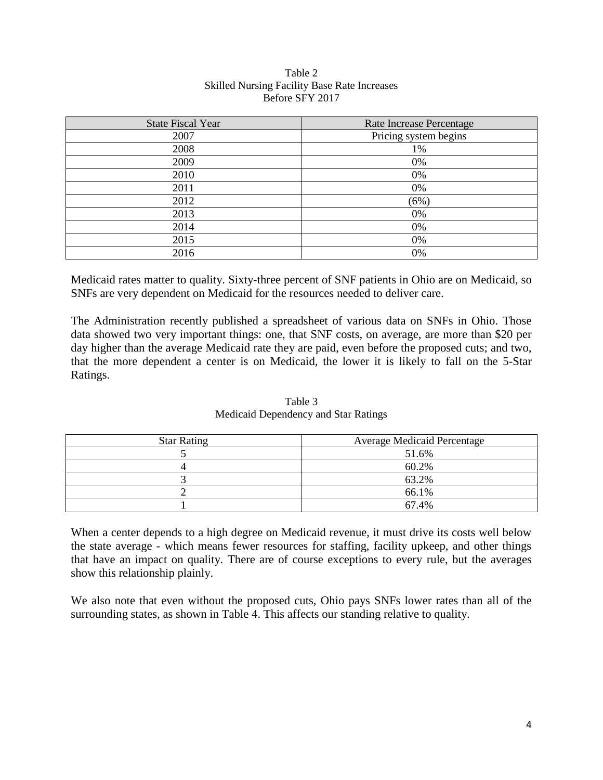| <b>State Fiscal Year</b> | Rate Increase Percentage |
|--------------------------|--------------------------|
| 2007                     | Pricing system begins    |
| 2008                     | 1%                       |
| 2009                     | 0%                       |
| 2010                     | 0%                       |
| 2011                     | 0%                       |
| 2012                     | (6%)                     |
| 2013                     | 0%                       |
| 2014                     | 0%                       |
| 2015                     | 0%                       |
| 2016                     | 0%                       |

## Table 2 Skilled Nursing Facility Base Rate Increases Before SFY 2017

Medicaid rates matter to quality. Sixty-three percent of SNF patients in Ohio are on Medicaid, so SNFs are very dependent on Medicaid for the resources needed to deliver care.

The Administration recently published a spreadsheet of various data on SNFs in Ohio. Those data showed two very important things: one, that SNF costs, on average, are more than \$20 per day higher than the average Medicaid rate they are paid, even before the proposed cuts; and two, that the more dependent a center is on Medicaid, the lower it is likely to fall on the 5-Star Ratings.

| <b>Star Rating</b> | <b>Average Medicaid Percentage</b> |
|--------------------|------------------------------------|
|                    | 51.6%                              |
|                    | 60.2%                              |
|                    | 63.2%                              |
|                    | 66.1%                              |
|                    | 67.4%                              |

Table 3 Medicaid Dependency and Star Ratings

When a center depends to a high degree on Medicaid revenue, it must drive its costs well below the state average - which means fewer resources for staffing, facility upkeep, and other things that have an impact on quality. There are of course exceptions to every rule, but the averages show this relationship plainly.

We also note that even without the proposed cuts, Ohio pays SNFs lower rates than all of the surrounding states, as shown in Table 4. This affects our standing relative to quality.